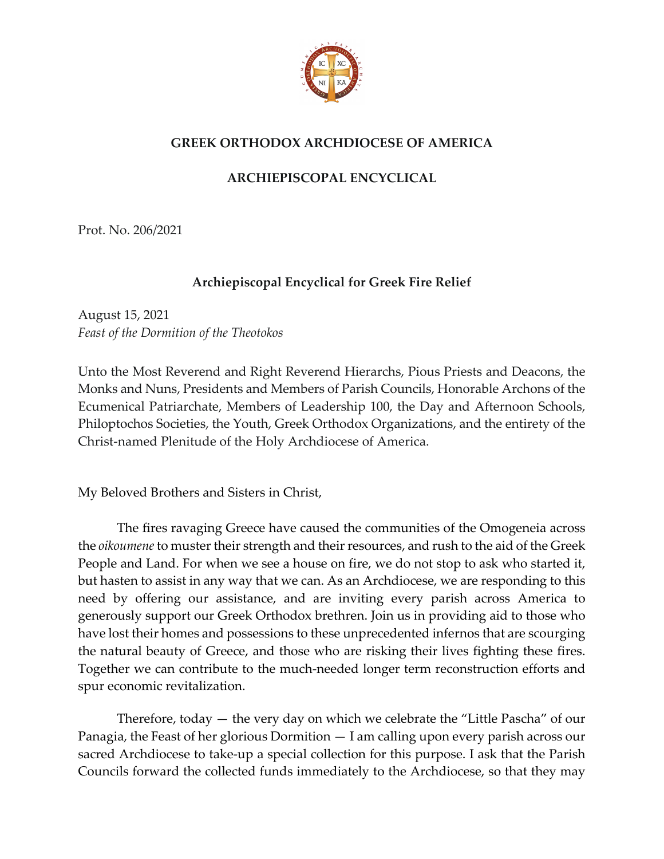

## **GREEK ORTHODOX ARCHDIOCESE OF AMERICA**

## **ARCHIEPISCOPAL ENCYCLICAL**

Prot. No. 206/2021

## **Archiepiscopal Encyclical for Greek Fire Relief**

August 15, 2021 *Feast of the Dormition of the Theotokos*

Unto the Most Reverend and Right Reverend Hierarchs, Pious Priests and Deacons, the Monks and Nuns, Presidents and Members of Parish Councils, Honorable Archons of the Ecumenical Patriarchate, Members of Leadership 100, the Day and Afternoon Schools, Philoptochos Societies, the Youth, Greek Orthodox Organizations, and the entirety of the Christ-named Plenitude of the Holy Archdiocese of America.

My Beloved Brothers and Sisters in Christ,

The fires ravaging Greece have caused the communities of the Omogeneia across the *oikoumene* to muster their strength and their resources, and rush to the aid of the Greek People and Land. For when we see a house on fire, we do not stop to ask who started it, but hasten to assist in any way that we can. As an Archdiocese, we are responding to this need by offering our assistance, and are inviting every parish across America to generously support our Greek Orthodox brethren. Join us in providing aid to those who have lost their homes and possessions to these unprecedented infernos that are scourging the natural beauty of Greece, and those who are risking their lives fighting these fires. Together we can contribute to the much-needed longer term reconstruction efforts and spur economic revitalization.

Therefore, today — the very day on which we celebrate the "Little Pascha" of our Panagia, the Feast of her glorious Dormition — I am calling upon every parish across our sacred Archdiocese to take-up a special collection for this purpose. I ask that the Parish Councils forward the collected funds immediately to the Archdiocese, so that they may